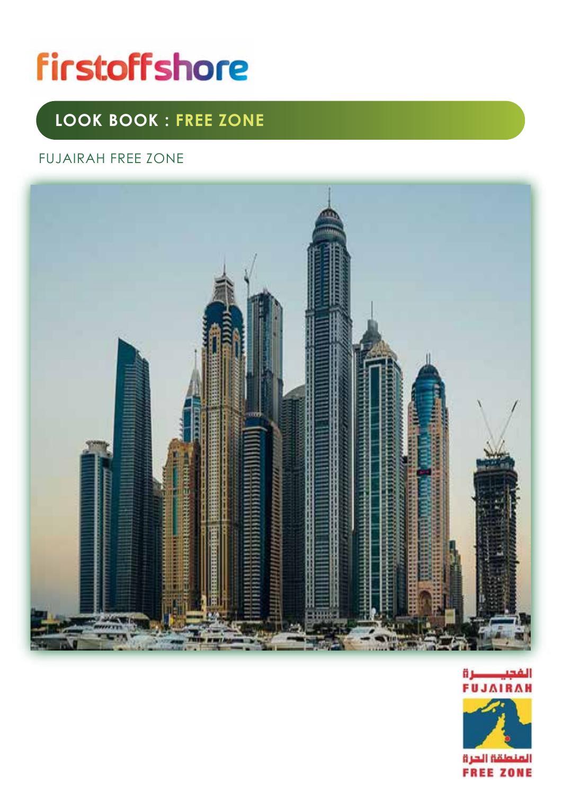# **firstoffshore**

# **LOOK BOOK : FREE ZONE**

#### FUJAIRAH FREE ZONE



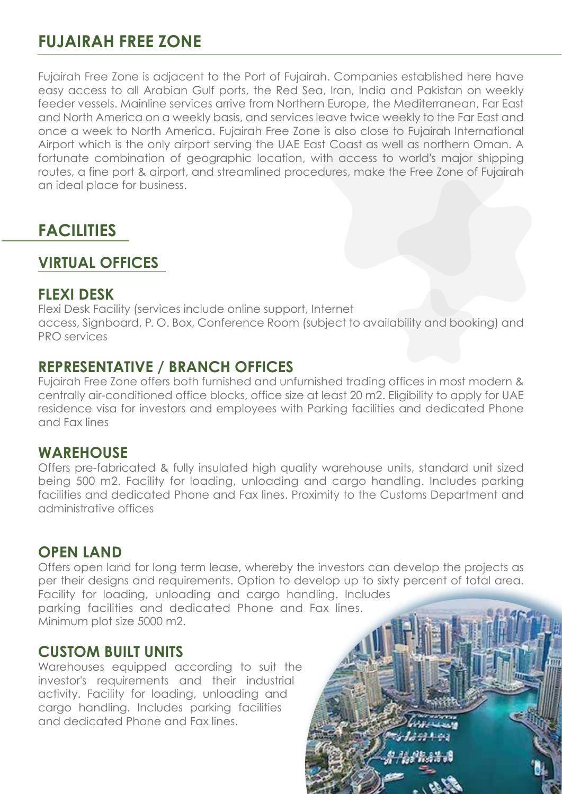# **FUJAIRAH FREE ZONE**

Fujairah Free Zone is adjacent to the Port of Fujairah. Companies established here have easy access to all Arabian Gulf ports, the Red Sea, Iran, India and Pakistan on weekly feeder vessels. Mainline services arrive from Northern Europe, the Mediterranean, Far East and North America on a weekly basis, and services leave twice weekly to the Far East and once a week to North America. Fujairah Free Zone is also close to Fujairah International Airport which is the only airport serving the UAE East Coast as well as northern Oman. A fortunate combination of geographic location, with access to world's major shipping routes, a fine port & airport, and streamlined procedures, make the Free Zone of Fujairah an ideal place for business.

# **FACILITIES**

## **VIRTUAL OFFICES**

#### **FLEXI DESK**

Flexi Desk Facility (services include online support, Internet access, Signboard, P. O. Box, Conference Room (subject to availability and booking) and PRO services

#### **REPRESENTATIVE / BRANCH OFFICES**

Fujairah Free Zone offers both furnished and unfurnished trading offices in most modern & centrally air-conditioned office blocks, office size at least 20 m2. Eligibility to apply for UAE residence visa for investors and employees with Parking facilities and dedicated Phone and Fax lines

#### **WAREHOUSE**

Offers pre-fabricated & fully insulated high quality warehouse units, standard unit sized being 500 m2. Facility for loading, unloading and cargo handling. Includes parking facilities and dedicated Phone and Fax lines. Proximity to the Customs Department and administrative offices

#### **OPEN LAND**

Offers open land for long term lease, whereby the investors can develop the projects as per their designs and requirements. Option to develop up to sixty percent of total area. Facility for loading, unloading and cargo handling. Includes parking facilities and dedicated Phone and Fax lines. Minimum plot size 5000 m2.

#### **CUSTOM BUILT UNITS**

Warehouses equipped according to suit the investor's requirements and their industrial activity. Facility for loading, unloading and cargo handling. Includes parking facilities and dedicated Phone and Fax lines.

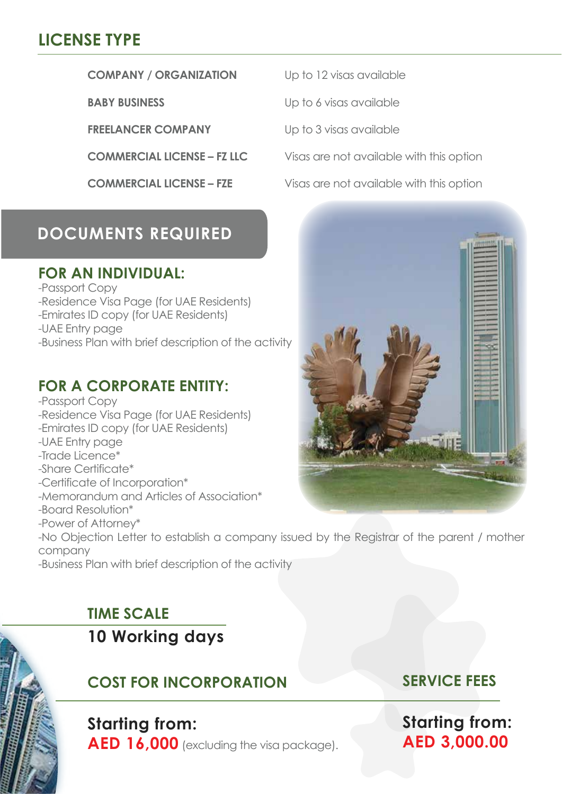# **LICENSE TYPE**

#### **COMPANY / ORGANIZATION** Up to 12 visas available

**FREELANCER COMPANY** Up to 3 visas available

# **DOCUMENTS REQUIRED**

#### **FOR AN INDIVIDUAL:**

-Passport Copy

- -Residence Visa Page (for UAE Residents)
- -Emirates ID copy (for UAE Residents)

-UAE Entry page

-Business Plan with brief description of the activity

## **FOR A CORPORATE ENTITY:**

-Passport Copy -Residence Visa Page (for UAE Residents) -Emirates ID copy (for UAE Residents) -UAE Entry page -Trade Licence\* -Share Certificate\* -Certificate of Incorporation\*

- -Memorandum and Articles of Association\*
- -Board Resolution\*
- -Power of Attorney\*

-No Objection Letter to establish a company issued by the Registrar of the parent / mother company

-Business Plan with brief description of the activity

# **TIME SCALE**

**10 Working days** 

# **COST FOR INCORPORATION**

# **Starting from:**

**AED 16,000** (excluding the visa package).

**Starting from: AED 3,000.00**

**SERVICE FEES**



**BABY BUSINESS** Up to 6 visas available

**COMMERCIAL LICENSE – FZ LLC** Visas are not available with this option

**COMMERCIAL LICENSE – FZE** Visas are not available with this option